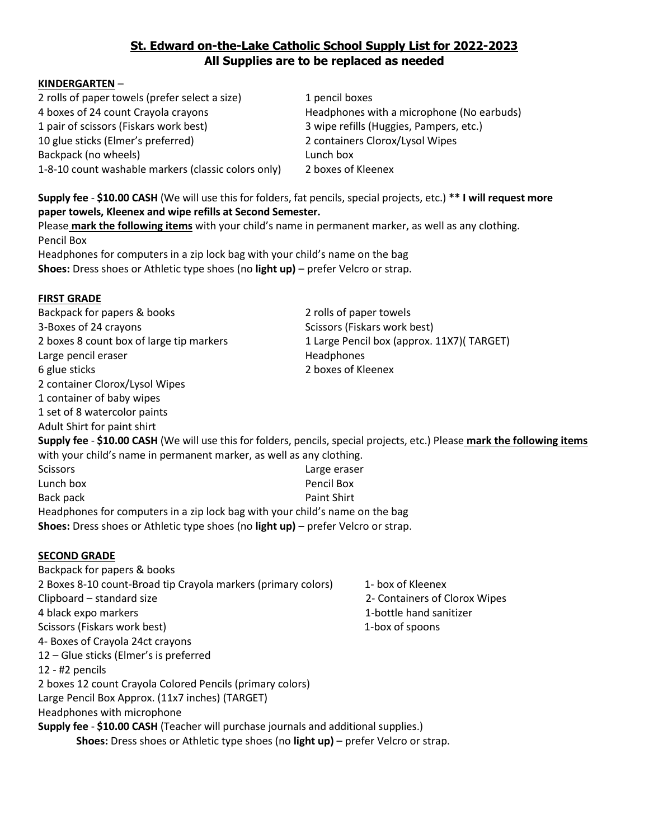# **St. Edward on-the-Lake Catholic School Supply List for 2022-2023 All Supplies are to be replaced as needed**

### **KINDERGARTEN** –

2 rolls of paper towels (prefer select a size) 1 pencil boxes 4 boxes of 24 count Crayola crayons Headphones with a microphone (No earbuds) 1 pair of scissors (Fiskars work best) 3 wipe refills (Huggies, Pampers, etc.) 10 glue sticks (Elmer's preferred) 2 containers Clorox/Lysol Wipes Backpack (no wheels) and the control of the control of the control of the control of the control of the control of the control of the control of the control of the control of the control of the control of the control of th 1-8-10 count washable markers (classic colors only) 2 boxes of Kleenex

**Supply fee** - **\$10.00 CASH** (We will use this for folders, fat pencils, special projects, etc.) **\*\* I will request more paper towels, Kleenex and wipe refills at Second Semester.**

Please **mark the following items** with your child's name in permanent marker, as well as any clothing. Pencil Box

Headphones for computers in a zip lock bag with your child's name on the bag **Shoes:** Dress shoes or Athletic type shoes (no **light up)** – prefer Velcro or strap.

## **FIRST GRADE**

Backpack for papers & books 2 rolls of paper towels 3-Boxes of 24 crayons Scissors (Fiskars work best) 2 boxes 8 count box of large tip markers 1 Large Pencil box (approx. 11X7)( TARGET) Large pencil eraser National School and Headphones 6 glue sticks 2 boxes of Kleenex 2 container Clorox/Lysol Wipes 1 container of baby wipes 1 set of 8 watercolor paints Adult Shirt for paint shirt **Supply fee** - **\$10.00 CASH** (We will use this for folders, pencils, special projects, etc.) Please **mark the following items** with your child's name in permanent marker, as well as any clothing. Scissors Large eraser Lunch box Pencil Box Back pack Paint Shirt Headphones for computers in a zip lock bag with your child's name on the bag **Shoes:** Dress shoes or Athletic type shoes (no **light up)** – prefer Velcro or strap.

# **SECOND GRADE**

Backpack for papers & books 2 Boxes 8-10 count-Broad tip Crayola markers (primary colors) 1- box of Kleenex Clipboard – standard size 2- Containers of Clorox Wipes 4 black expo markers 1-bottle hand sanitizer Scissors (Fiskars work best) 1-box of spoons 4- Boxes of Crayola 24ct crayons 12 – Glue sticks (Elmer's is preferred 12 - #2 pencils 2 boxes 12 count Crayola Colored Pencils (primary colors) Large Pencil Box Approx. (11x7 inches) (TARGET) Headphones with microphone **Supply fee** - **\$10.00 CASH** (Teacher will purchase journals and additional supplies.)

**Shoes:** Dress shoes or Athletic type shoes (no **light up)** – prefer Velcro or strap.